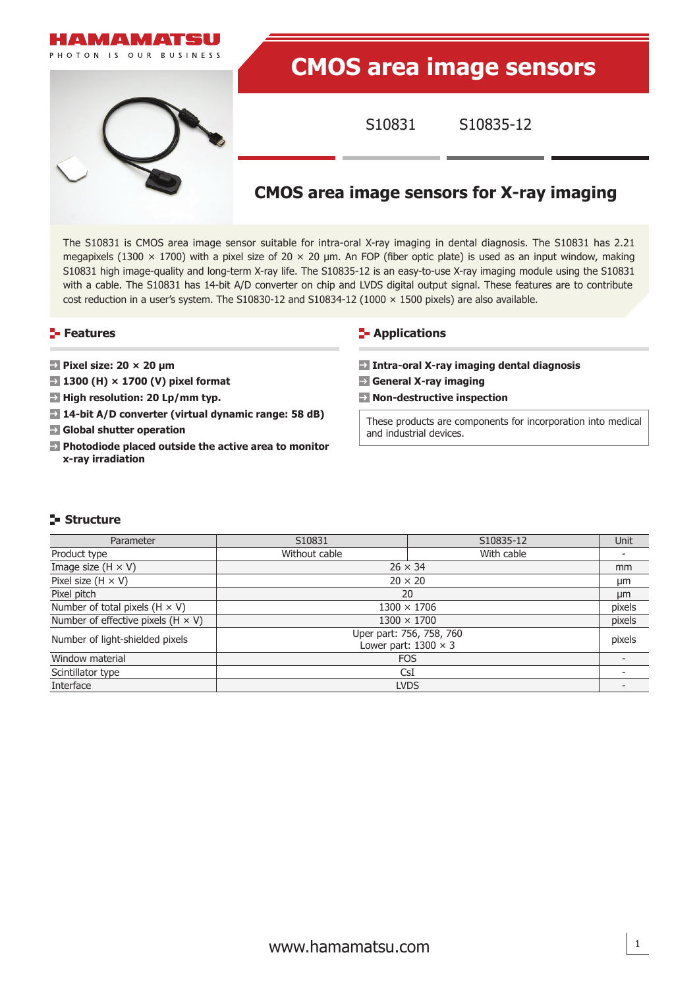

The S10831 is CMOS area image sensor suitable for intra-oral X-ray imaging in dental diagnosis. The S10831 has 2.21 megapixels (1300  $\times$  1700) with a pixel size of 20  $\times$  20 µm. An FOP (fiber optic plate) is used as an input window, making S10831 high image-quality and long-term X-ray life. The S10835-12 is an easy-to-use X-ray imaging module using the S10831 with a cable. The S10831 has 14-bit A/D converter on chip and LVDS digital output signal. These features are to contribute cost reduction in a user's system. The S10830-12 and S10834-12 (1000  $\times$  1500 pixels) are also available.

## **Features**

- **Pixel size: 20 × 20 µm**
- **1300 (H) × 1700 (V) pixel format**
- → High resolution: 20 Lp/mm typ.
- **14-bit A/D converter (virtual dynamic range: 58 dB)**
- **Global shutter operation**
- **Photodiode placed outside the active area to monitor x-ray irradiation**

## **E-** Applications

- **Intra-oral X-ray imaging dental diagnosis**
- **General X-ray imaging**
- **Non-destructive inspection**

These products are components for incorporation into medical and industrial devices.

## **Structure**

| Parameter                                 | S10831                                                  | S10835-12      | Unit |  |  |
|-------------------------------------------|---------------------------------------------------------|----------------|------|--|--|
| Product type                              | Without cable                                           | With cable     |      |  |  |
| Image size $(H \times V)$                 | $26 \times 34$                                          |                | mm   |  |  |
| Pixel size $(H \times V)$                 |                                                         | $20 \times 20$ | µm   |  |  |
| Pixel pitch                               |                                                         | 20             |      |  |  |
| Number of total pixels $(H \times V)$     | $1300 \times 1706$                                      |                |      |  |  |
| Number of effective pixels $(H \times V)$ | $1300 \times 1700$                                      |                |      |  |  |
| Number of light-shielded pixels           | Uper part: 756, 758, 760<br>Lower part: $1300 \times 3$ |                |      |  |  |
| Window material                           | <b>FOS</b>                                              |                |      |  |  |
| Scintillator type                         | CsI                                                     |                |      |  |  |
| Interface                                 | <b>LVDS</b>                                             |                |      |  |  |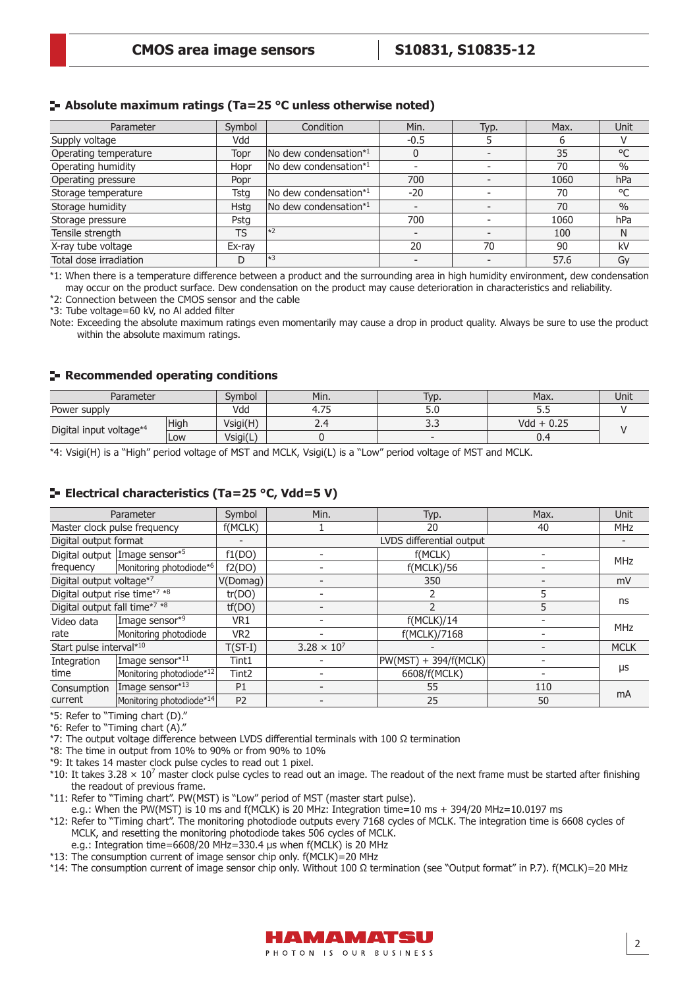#### **Absolute maximum ratings (Ta=25 °C unless otherwise noted)**

| Parameter              | Symbol    | Condition             | Min.   | Typ. | Max. | Unit          |
|------------------------|-----------|-----------------------|--------|------|------|---------------|
| Supply voltage         | Vdd       |                       | $-0.5$ |      | h    |               |
| Operating temperature  | Topr      | No dew condensation*1 |        |      | 35   | °C            |
| Operating humidity     | Hopr      | No dew condensation*1 |        |      | 70   | $\%$          |
| Operating pressure     | Popr      |                       | 700    |      | 1060 | hPa           |
| Storage temperature    | Tsta      | No dew condensation*1 | $-20$  |      | 70   | °C            |
| Storage humidity       | Hsta      | No dew condensation*1 |        |      | 70   | $\frac{0}{0}$ |
| Storage pressure       | Pstg      |                       | 700    |      | 1060 | hPa           |
| Tensile strength       | <b>TS</b> | $\vert *2 \rangle$    |        |      | 100  | N             |
| X-ray tube voltage     | Ex-rav    |                       | 20     | 70   | 90   | kV            |
| Total dose irradiation |           | $\vert *3$            |        |      | 57.6 | Gy            |

\*1: When there is a temperature difference between a product and the surrounding area in high humidity environment, dew condensation may occur on the product surface. Dew condensation on the product may cause deterioration in characteristics and reliability.

\*2: Connection between the CMOS sensor and the cable

\*3: Tube voltage=60 kV, no Al added filter

Note: Exceeding the absolute maximum ratings even momentarily may cause a drop in product quality. Always be sure to use the product within the absolute maximum ratings.

#### **Recommended operating conditions**

| Parameter               |      | Symbol   | Min.                             | Typ. | Max.         | Unit |  |
|-------------------------|------|----------|----------------------------------|------|--------------|------|--|
| Power supply            |      | Vdd      | $\overline{\phantom{a}}$<br>T./J | J.U  | ب            |      |  |
| Digital input voltage*4 | High | Vsigi(H) | ∠.⊣                              |      | $Vdd + 0.25$ |      |  |
|                         | LOW  | Vsigi(L, |                                  |      | J.ª          |      |  |

\*4: Vsigi(H) is a "High" period voltage of MST and MCLK, Vsigi(L) is a "Low" period voltage of MST and MCLK.

## **Electrical characteristics (Ta=25 °C, Vdd=5 V)**

| Parameter                     |                               | Symbol            | Min.                 | Typ.                     | Max. | Unit        |
|-------------------------------|-------------------------------|-------------------|----------------------|--------------------------|------|-------------|
|                               | Master clock pulse frequency  | f(MCLK)           |                      | 20                       | 40   | <b>MHz</b>  |
| Digital output format         |                               |                   |                      | LVDS differential output |      |             |
|                               | Digital output Image sensor*5 | f1(DO)            |                      | f(MCLK)                  |      | <b>MHz</b>  |
| frequency                     | Monitoring photodiode*6       | f2(DO)            |                      | f(MCLK)/56               |      |             |
| Digital output voltage*7      |                               | V(Domag)          |                      | 350                      |      | mV          |
| Digital output rise time*7 *8 |                               | tr(DO)            |                      |                          | 5    |             |
| Digital output fall time*7 *8 |                               | tf(DO)            |                      |                          | 5    | ns          |
| Video data                    | Image sensor*9                | VR1               |                      | f(MCLK)/14               |      | <b>MHz</b>  |
| rate                          | Monitoring photodiode         | VR <sub>2</sub>   |                      | f(MCLK)/7168             |      |             |
| Start pulse interval*10       |                               | $T(ST-I)$         | $3.28 \times 10^{7}$ |                          |      | <b>MCLK</b> |
| Integration                   | Image sensor*11               | Tint1             |                      | $PW(MST) + 394/f(MCLK)$  |      |             |
| time                          | Monitoring photodiode*12      | Tint <sub>2</sub> |                      | 6608/f(MCLK)             |      | μs          |
| Consumption                   | Image sensor*13               | P <sub>1</sub>    |                      | 55                       | 110  | mA          |
| current                       | Monitoring photodiode*14      | P <sub>2</sub>    |                      | 25                       | 50   |             |

\*5: Refer to "Timing chart (D)."

\*6: Refer to "Timing chart (A)."

\*7: The output voltage difference between LVDS differential terminals with 100 Ω termination

\*8: The time in output from 10% to 90% or from 90% to 10%

\*9: It takes 14 master clock pulse cycles to read out 1 pixel.

\*10: It takes 3.28  $\times$  10<sup>7</sup> master clock pulse cycles to read out an image. The readout of the next frame must be started after finishing the readout of previous frame.

\*11: Refer to "Timing chart". PW(MST) is "Low" period of MST (master start pulse).

e.g.: When the PW(MST) is 10 ms and f(MCLK) is 20 MHz: Integration time=10 ms + 394/20 MHz=10.0197 ms \*12: Refer to "Timing chart". The monitoring photodiode outputs every 7168 cycles of MCLK. The integration time is 6608 cycles of

MCLK, and resetting the monitoring photodiode takes 506 cycles of MCLK.

e.g.: Integration time=6608/20 MHz=330.4 μs when f(MCLK) is 20 MHz

\*13: The consumption current of image sensor chip only. f(MCLK)=20 MHz

\*14: The consumption current of image sensor chip only. Without 100 Ω termination (see "Output format" in P.7). f(MCLK)=20 MHz



2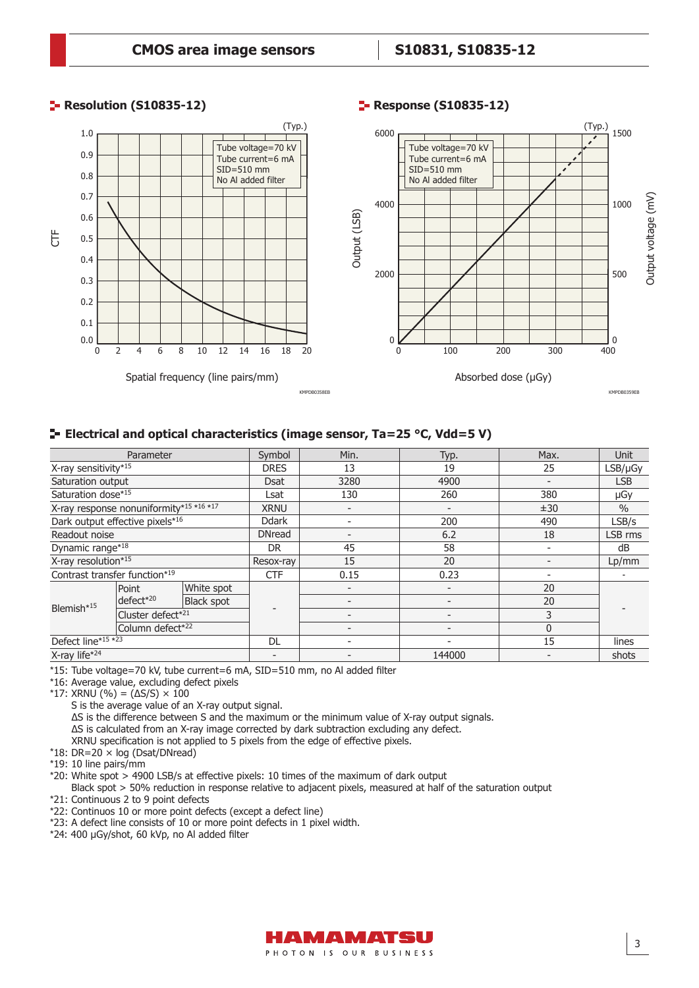**Response (S10835-12)** 

## **Resolution (S10835-12)**



## **Electrical and optical characteristics (image sensor, Ta=25 °C, Vdd=5 V)**

| Parameter                               |                  | Symbol            | Min.                     | Typ.                     | Max.   | <b>Unit</b>              |               |
|-----------------------------------------|------------------|-------------------|--------------------------|--------------------------|--------|--------------------------|---------------|
| X-ray sensitivity*15                    |                  |                   | <b>DRES</b>              | 13                       | 19     | 25                       | $LSB/\mu Gy$  |
| Saturation output                       |                  |                   | <b>Dsat</b>              | 3280                     | 4900   | $\overline{\phantom{0}}$ | <b>LSB</b>    |
| Saturation dose*15                      |                  |                   | Lsat                     | 130                      | 260    | 380                      | μGγ           |
| X-ray response nonuniformity*15 *16 *17 |                  |                   | <b>XRNU</b>              |                          |        | ±30                      | $\frac{0}{0}$ |
| Dark output effective pixels*16         |                  |                   | <b>Ddark</b>             | $\overline{\phantom{a}}$ | 200    | 490                      | LSB/s         |
| Readout noise                           |                  |                   | <b>DNread</b>            | $\overline{\phantom{a}}$ | 6.2    | 18                       | LSB rms       |
| Dynamic range*18                        |                  | DR                | 45                       | 58                       |        | dB                       |               |
| X-ray resolution $*15$                  |                  | Resox-ray         | 15                       | 20                       |        | Lp/mm                    |               |
| Contrast transfer function*19           |                  |                   | <b>CTF</b>               | 0.15                     | 0.23   | $\overline{\phantom{0}}$ |               |
|                                         | Point            | White spot        |                          |                          |        | 20                       |               |
| Blemish* <sup>15</sup>                  | $defect*^{20}$   | <b>Black spot</b> |                          | $\overline{\phantom{0}}$ |        | 20                       |               |
|                                         |                  | Cluster defect*21 |                          | $\overline{\phantom{a}}$ |        | 3                        |               |
|                                         | Column defect*22 |                   |                          |                          |        | 0                        |               |
| Defect line*15 *23                      |                  |                   | DL                       | $\overline{\phantom{a}}$ |        | 15                       | lines         |
| X-ray life*24                           |                  |                   | $\overline{\phantom{0}}$ |                          | 144000 | $\qquad \qquad$          | shots         |

\*15: Tube voltage=70 kV, tube current=6 mA, SID=510 mm, no Al added filter

\*16: Average value, excluding defect pixels

\*17: XRNU (%) = (∆S/S) × 100

S is the average value of an X-ray output signal.

∆S is the difference between S and the maximum or the minimum value of X-ray output signals.

∆S is calculated from an X-ray image corrected by dark subtraction excluding any defect.

XRNU specification is not applied to 5 pixels from the edge of effective pixels.

- $*18$ : DR=20  $\times$  log (Dsat/DNread)
- \*19: 10 line pairs/mm
- \*20: White spot > 4900 LSB/s at effective pixels: 10 times of the maximum of dark output

Black spot > 50% reduction in response relative to adjacent pixels, measured at half of the saturation output \*21: Continuous 2 to 9 point defects

\*22: Continuos 10 or more point defects (except a defect line)

\*23: A defect line consists of 10 or more point defects in 1 pixel width.

\*24: 400 µGy/shot, 60 kVp, no Al added filter



3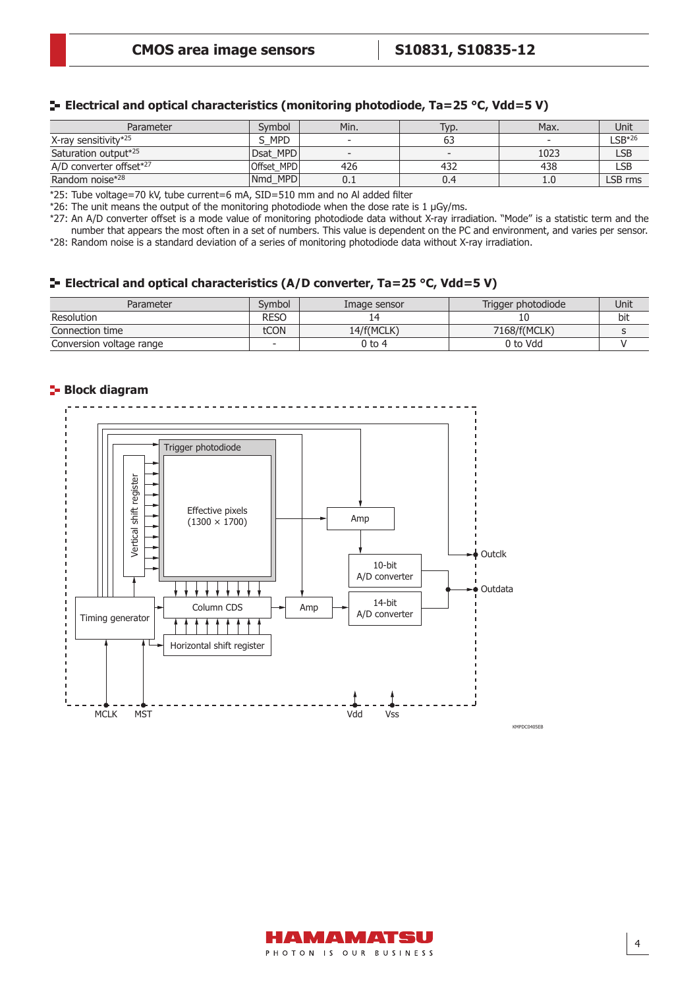|  |  | $\blacktriangleright$ Electrical and optical characteristics (monitoring photodiode, Ta=25 °C, Vdd=5 V) |
|--|--|---------------------------------------------------------------------------------------------------------|
|  |  |                                                                                                         |

| Parameter               | Symbol     | Min.                     | Typ.   | Max. | Unit        |
|-------------------------|------------|--------------------------|--------|------|-------------|
| X-ray sensitivity*25    | <b>MPD</b> | $\overline{\phantom{a}}$ | 63     |      | $LSB*^{26}$ |
| Saturation output*25    | Dsat MPD   | $\overline{\phantom{a}}$ | $\sim$ | 1023 | <b>LSB</b>  |
| A/D converter offset*27 | Offset MPD | 426                      | 432    | 438  | ∟SB         |
| Random noise*28         | Nmd MPD    | U.I                      | 0.4    | 1.0  | LSB rms     |

\*25: Tube voltage=70 kV, tube current=6 mA, SID=510 mm and no Al added filter

\*26: The unit means the output of the monitoring photodiode when the dose rate is 1  $\mu$ Gy/ms.

\*27: An A/D converter offset is a mode value of monitoring photodiode data without X-ray irradiation. "Mode" is a statistic term and the number that appears the most often in a set of numbers. This value is dependent on the PC and environment, and varies per sensor. \*28: Random noise is a standard deviation of a series of monitoring photodiode data without X-ray irradiation.

## **Electrical and optical characteristics (A/D converter, Ta=25 °C, Vdd=5 V)**

| Parameter                | Svmbol | Image sensor | Trigger photodiode | Unit |
|--------------------------|--------|--------------|--------------------|------|
| Resolution               | RESC   |              |                    | bit  |
| Connection time          | tCON   | 14/f(MCLK)   | 7168/f(MCLK)       |      |
| Conversion voltage range |        | $0$ to 4     | 0 to Vdd           |      |

#### **Block diagram**



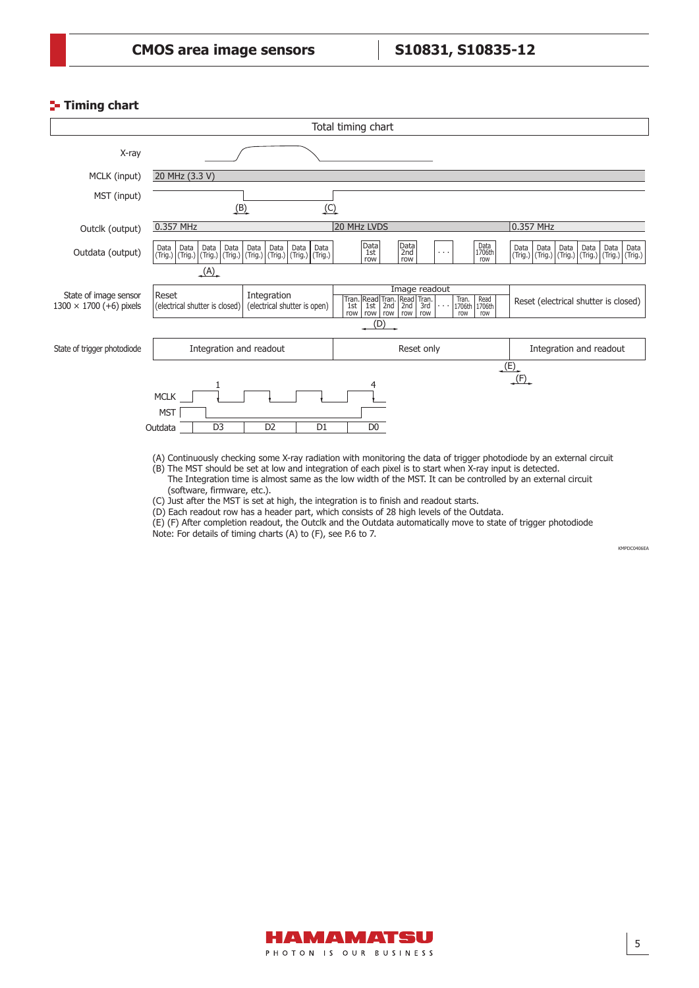#### **Timing chart**



(A) Continuously checking some X-ray radiation with monitoring the data of trigger photodiode by an external circuit

(B) The MST should be set at low and integration of each pixel is to start when X-ray input is detected. The Integration time is almost same as the low width of the MST. It can be controlled by an external circuit

(software, firmware, etc.).

(C) Just after the MST is set at high, the integration is to finish and readout starts.

(D) Each readout row has a header part, which consists of 28 high levels of the Outdata.

(E) (F) After completion readout, the Outclk and the Outdata automatically move to state of trigger photodiode Note: For details of timing charts (A) to (F), see P.6 to 7.

KMPDC0406EA

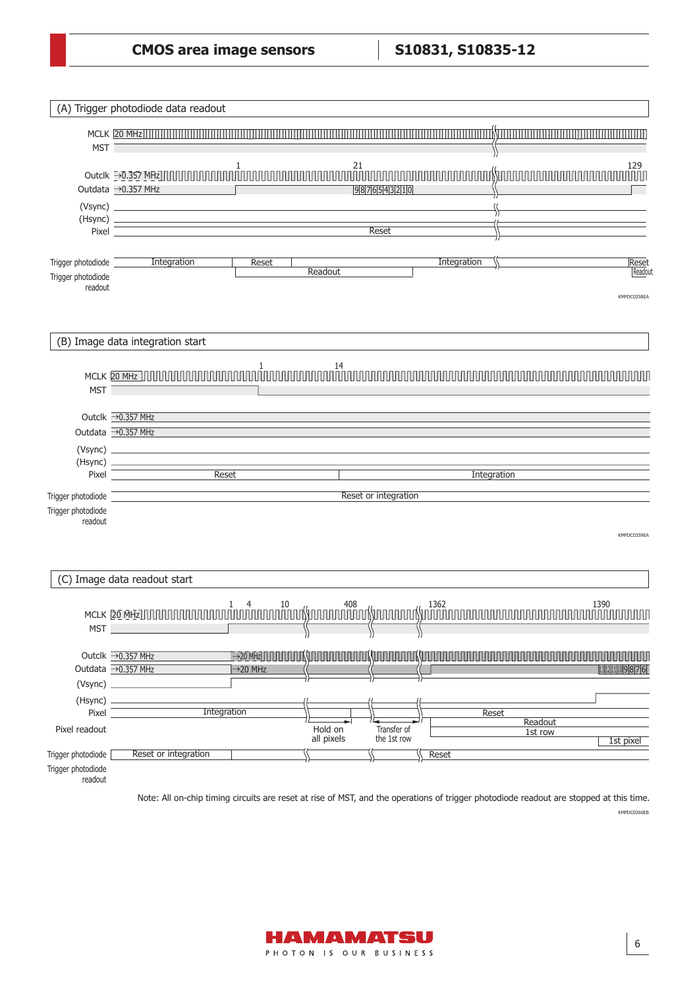|                                                     | (A) Trigger photodiode data readout                                                                                        |
|-----------------------------------------------------|----------------------------------------------------------------------------------------------------------------------------|
| MST <sup>-</sup>                                    | <u> Astronomini</u>                                                                                                        |
|                                                     | 129<br>ППГ<br>Outdata → 0.357 MHz<br>9876543210                                                                            |
|                                                     | Reset<br>Pixel                                                                                                             |
| Trigger photodiode<br>Trigger photodiode<br>readout | Integration<br>Integration<br>Reset<br>Reset<br>Readout<br>Readout<br>KMPDC0358EA                                          |
|                                                     | (B) Image data integration start                                                                                           |
| MST <sup>-</sup>                                    | MCLK 20 MHz JUULUU                                                                                                         |
|                                                     | Outclk → 0.357 MHz<br>Outdata → 0.357 MHz                                                                                  |
| Pixel                                               | Reset<br>Integration                                                                                                       |
| Trigger photodiode                                  | Reset or integration                                                                                                       |
| Trigger photodiode<br>readout                       | KMPDC0359EA                                                                                                                |
|                                                     | (C) Image data readout start                                                                                               |
| MST <sub>_</sub>                                    | 1390<br>MCLK 20 MHz]]]]]]]]]]]]]]]]]]]                                                                                     |
|                                                     | Outclk →0.357 MHz<br>,,,,,,,,,,<br>,,,,,,,,,,,,<br>Ш<br>Outdata → 0.357 MHz<br>13 12 11 10 9 8 7 6<br>$\rightarrow$ 20 MHz |
| (Hsync) -                                           | <b>Integration</b>                                                                                                         |
| Pixel<br>Pixel readout                              | Reset<br>Readout<br>Hold on<br>Transfer of<br>1st row<br>all pixels<br>the 1st row<br>1st pixel                            |
| Trigger photodiode<br>Trigger photodiode<br>readout | Reset or integration<br>Reset                                                                                              |

KMPDC0360EB Note: All on-chip timing circuits are reset at rise of MST, and the operations of trigger photodiode readout are stopped at this time.

 $6$ 

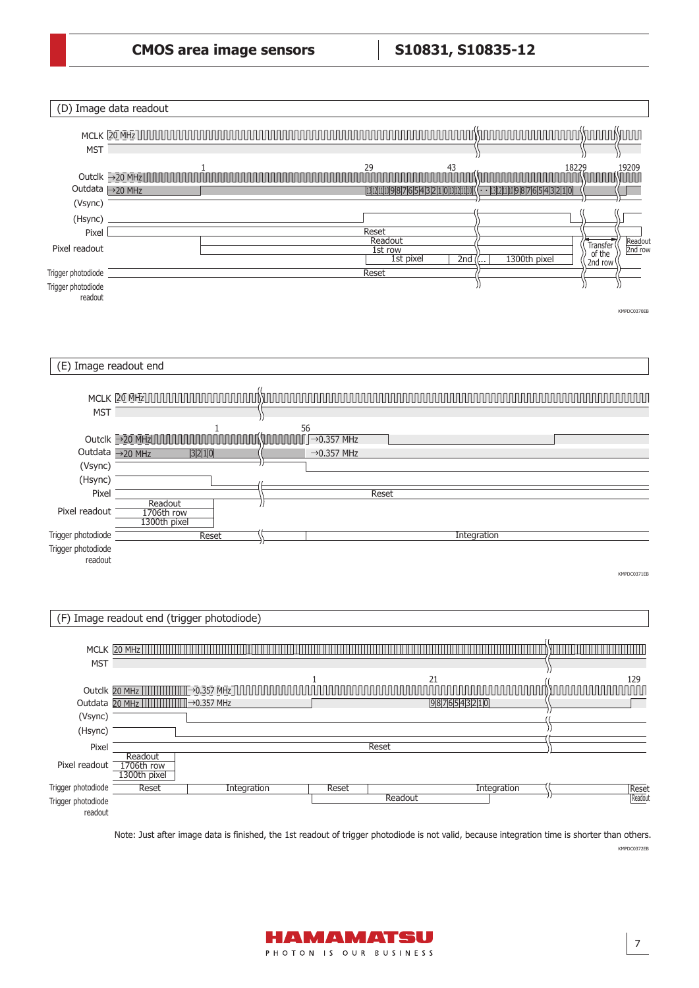|                                                     | (D) Image data readout                                                                                                                                                                                                                                                                                                                                                                                                                                                                                                                  |
|-----------------------------------------------------|-----------------------------------------------------------------------------------------------------------------------------------------------------------------------------------------------------------------------------------------------------------------------------------------------------------------------------------------------------------------------------------------------------------------------------------------------------------------------------------------------------------------------------------------|
| <b>MST</b>                                          | uuu Yuuuu Yuuu<br>חחחחחחחחחחול)ו                                                                                                                                                                                                                                                                                                                                                                                                                                                                                                        |
| Outdata →20 MHz<br>(Vsync)                          | 29<br>$\frac{43}{\Box \Box \Box}$<br>18229<br>19209<br>1<br>Outclk →20 MHz<br>UUU<br>13 12 11 10 9 8 7 6 5 4 3 2 1 0 13 12 11 10                                                                                                                                                                                                                                                                                                                                                                                                        |
| (Hsync)<br>Pixel                                    | Reset                                                                                                                                                                                                                                                                                                                                                                                                                                                                                                                                   |
| Pixel readout                                       | Readout<br>Readout<br>Transfer<br>1st row<br>2nd row<br>of the<br>1300th pixel<br>1st pixel<br>2nd                                                                                                                                                                                                                                                                                                                                                                                                                                      |
| Trigger photodiode<br>Trigger photodiode<br>readout | 2nd row<br>Reset<br>KMPDC0370EB                                                                                                                                                                                                                                                                                                                                                                                                                                                                                                         |
|                                                     | (E) Image readout end                                                                                                                                                                                                                                                                                                                                                                                                                                                                                                                   |
| <b>MST</b>                                          | 56<br>1                                                                                                                                                                                                                                                                                                                                                                                                                                                                                                                                 |
| (Vsync)<br>(Hsync)<br>Pixel<br>Pixel readout        | الممواليهم<br>$\prod \rightarrow 0.357 \text{ MHz}$<br>Outclk $\rightarrow$ 20 MHz<br>Outdata →20 MHz<br>$\rightarrow$ 0.357 MHz<br>3210<br><b>Reset</b><br>Readout<br>1706th row<br>1300th pixel                                                                                                                                                                                                                                                                                                                                       |
| Trigger photodiode<br>Trigger photodiode<br>readout | Integration<br>Reset<br>KMPDC0371EB                                                                                                                                                                                                                                                                                                                                                                                                                                                                                                     |
|                                                     | (F) Image readout end (trigger photodiode)                                                                                                                                                                                                                                                                                                                                                                                                                                                                                              |
| <b>MST</b>                                          |                                                                                                                                                                                                                                                                                                                                                                                                                                                                                                                                         |
| (Vsync)<br>(Hsync)                                  | $\begin{array}{l} \text{Out} \\ \text{Out} \\ \text{Out} \\ \end{array} \begin{array}{l} \text{21} \\ \text{22} \\ \text{10} \\ \text{11} \\ \text{11} \\ \text{12} \\ \text{13} \\ \text{14} \\ \text{16} \\ \text{17} \\ \text{18} \\ \text{19} \\ \text{19} \\ \text{10} \\ \text{11} \\ \text{10} \\ \text{11} \\ \text{11} \\ \text{11} \\ \text{11} \\ \text{11} \\ \text{11} \\ \text{11} \\ \text{11} \\ \text{11} \\ \text{11} \\ \$<br>129<br>nnn<br>Outdata 20 MHz                                 → 0.357 MHz<br>9876543210 |
| Pixel                                               | Reset                                                                                                                                                                                                                                                                                                                                                                                                                                                                                                                                   |
| Pixel readout                                       | Readout<br>1706th row<br>1300th pixel                                                                                                                                                                                                                                                                                                                                                                                                                                                                                                   |
| Trigger photodiode<br>Trigger photodiode<br>readout | Reset<br>Integration<br>Reset<br>Integration<br><b>Reset</b><br>Readout<br>Readout                                                                                                                                                                                                                                                                                                                                                                                                                                                      |

KMPDC0372EB Note: Just after image data is finished, the 1st readout of trigger photodiode is not valid, because integration time is shorter than others.

 $\vert$  7

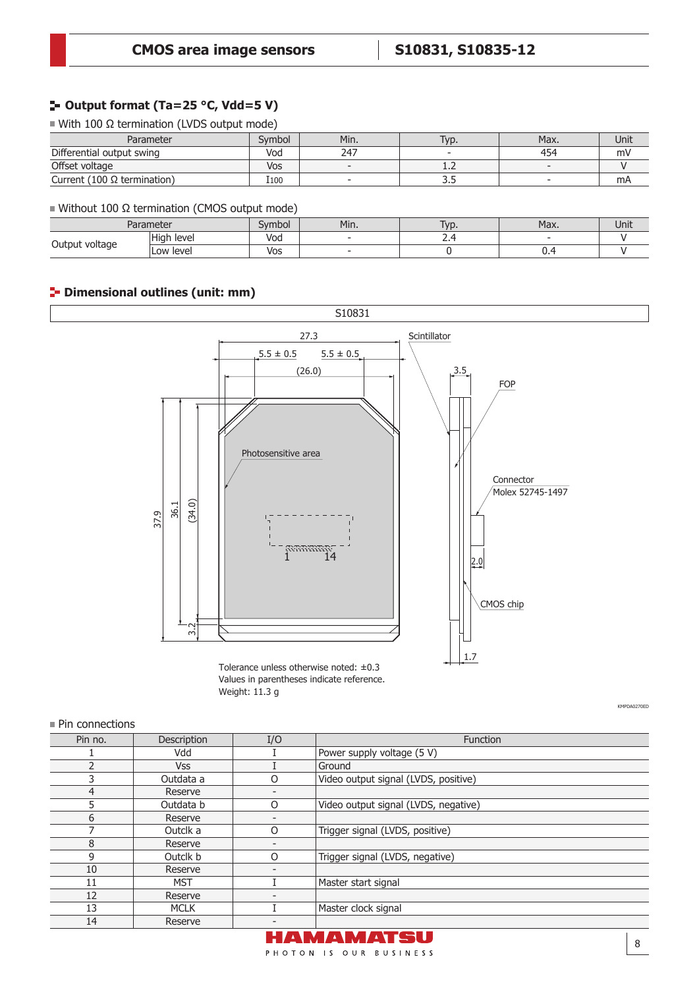## **Output format (Ta=25 °C, Vdd=5 V)**

With 100 Ω termination (LVDS output mode)

| Parameter                          | Svmbol | Min. | T <sub>VD</sub> . | Max. | Unit |
|------------------------------------|--------|------|-------------------|------|------|
| Differential output swing          | Vod    | 247  |                   | 454  | mV   |
| Offset voltage                     | Vos    |      | . . <u>.</u>      |      |      |
| Current (100 $\Omega$ termination) | I100   |      | ں ر               |      | mA   |

#### $\blacksquare$  Without 100 Ω termination (CMOS output mode)

| Parameter      |               | Symbol | Min. | lvr<br><b>v</b> L | Max.                          | Unit |
|----------------|---------------|--------|------|-------------------|-------------------------------|------|
| Output voltage | High<br>level | Voa    |      | . .               |                               |      |
|                | Low level     | Vos    |      |                   | $\mathsf{u} \cdot \mathsf{v}$ |      |

## **Dimensional outlines (unit: mm)**



Tolerance unless otherwise noted: ±0.3 Values in parentheses indicate reference. Weight: 11.3 g

KMPDA0270ED

#### **Pin connections**

| Pin no.               | <b>Description</b> | I/O | Function                             |
|-----------------------|--------------------|-----|--------------------------------------|
|                       | Vdd                |     | Power supply voltage (5 V)           |
|                       | <b>Vss</b>         |     | Ground                               |
|                       | Outdata a          | 0   | Video output signal (LVDS, positive) |
| 4                     | Reserve            |     |                                      |
|                       | Outdata b          | O   | Video output signal (LVDS, negative) |
| 6                     | Reserve            |     |                                      |
|                       | Outclk a           | O   | Trigger signal (LVDS, positive)      |
| 8                     | Reserve            |     |                                      |
| 9                     | Outclk b           | 0   | Trigger signal (LVDS, negative)      |
| 10                    | Reserve            |     |                                      |
| 11                    | <b>MST</b>         |     | Master start signal                  |
| 12                    | Reserve            |     |                                      |
| 13                    | <b>MCLK</b>        |     | Master clock signal                  |
| 14                    | Reserve            |     |                                      |
| HAMAMATSU<br>$\Omega$ |                    |     |                                      |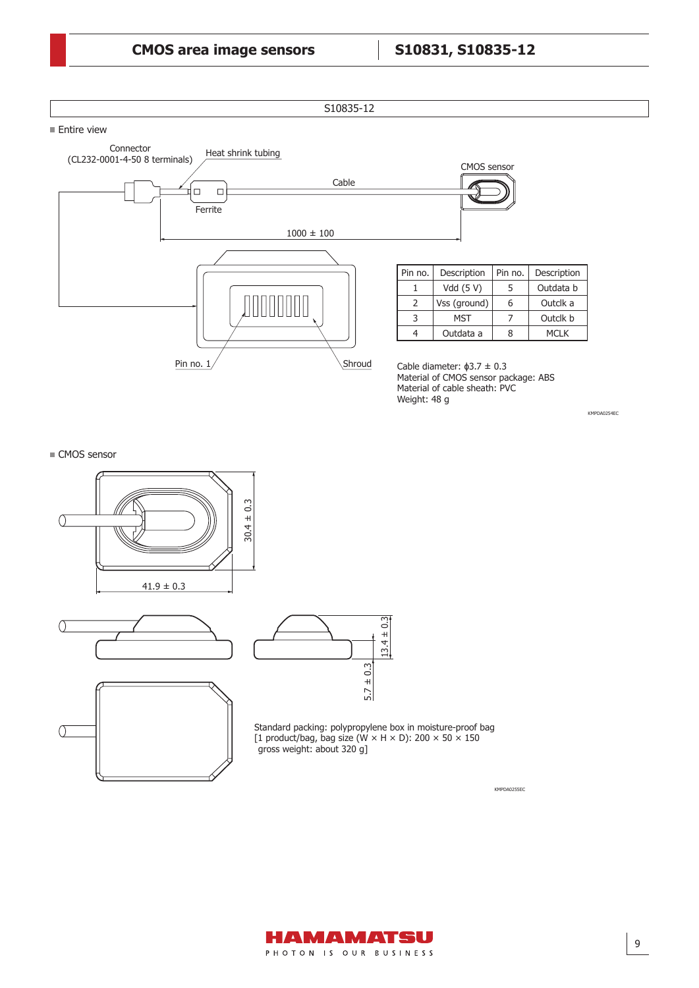# S10835-12  $\blacksquare$  Entire view



Pin no. Description 5 Outdata b 6 Outclk a 7 Outclk b 8 MCLK

KMPDA0255EC

Cable diameter:  $\phi$ 3.7  $\pm$  0.3 Material of CMOS sensor package: ABS Material of cable sheath: PVC Weight: 48 g

KMPDA0254EC

#### ■ CMOS sensor







Standard packing: polypropylene box in moisture-proof bag [1 product/bag, bag size (W  $\times$  H  $\times$  D): 200  $\times$  50  $\times$  150 gross weight: about 320 g]